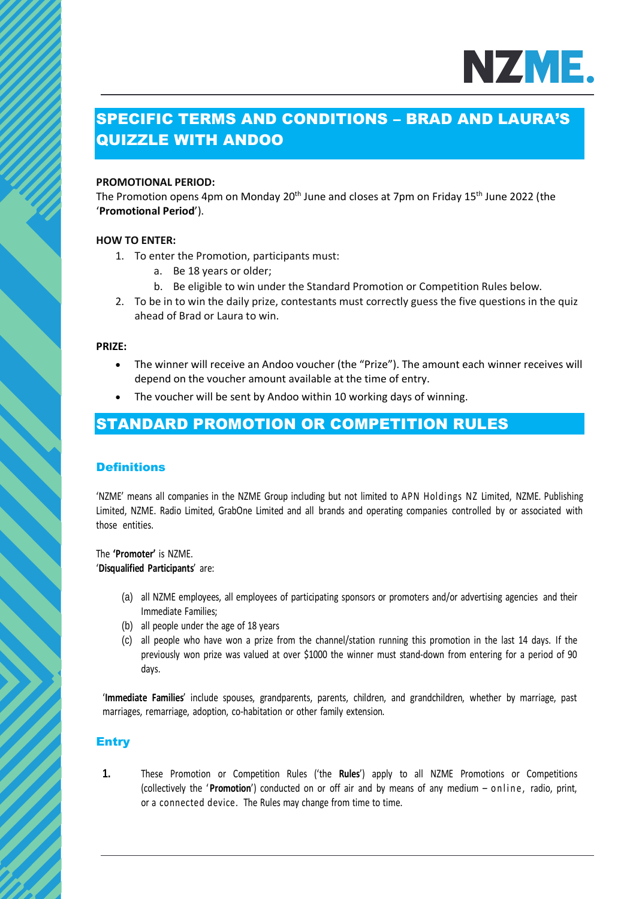

# SPECIFIC TERMS AND CONDITIONS – BRAD AND LAURA'S QUIZZLE WITH ANDOO

#### **PROMOTIONAL PERIOD:**

The Promotion opens 4pm on Monday 20<sup>th</sup> June and closes at 7pm on Friday 15<sup>th</sup> June 2022 (the '**Promotional Period**').

#### **HOW TO ENTER:**

- 1. To enter the Promotion, participants must:
	- a. Be 18 years or older;
	- b. Be eligible to win under the Standard Promotion or Competition Rules below.
- 2. To be in to win the daily prize, contestants must correctly guess the five questions in the quiz ahead of Brad or Laura to win.

#### **PRIZE:**

- The winner will receive an Andoo voucher (the "Prize"). The amount each winner receives will depend on the voucher amount available at the time of entry.
- The voucher will be sent by Andoo within 10 working days of winning.

# STANDARD PROMOTION OR COMPETITION RULES

#### **Definitions**

'NZME' means all companies in the NZME Group including but not limited to APN Holdings NZ Limited, NZME. Publishing Limited, NZME. Radio Limited, GrabOne Limited and all brands and operating companies controlled by or associated with those entities.

The **'Promoter'** is NZME. '**Disqualified Participants**' are:

- (a) all NZME employees, all employees of participating sponsors or promoters and/or advertising agencies and their Immediate Families;
- (b) all people under the age of 18 years
- (c) all people who have won a prize from the channel/station running this promotion in the last 14 days. If the previously won prize was valued at over \$1000 the winner must stand-down from entering for a period of 90 days.

'**Immediate Families**' include spouses, grandparents, parents, children, and grandchildren, whether by marriage, past marriages, remarriage, adoption, co-habitation or other family extension.

## **Entry**

**1.** These Promotion or Competition Rules ('the **Rules**') apply to all NZME Promotions or Competitions (collectively the '**Promotion**') conducted on or off air and by means of any medium – online, radio, print, or a connected device. The Rules may change from time to time.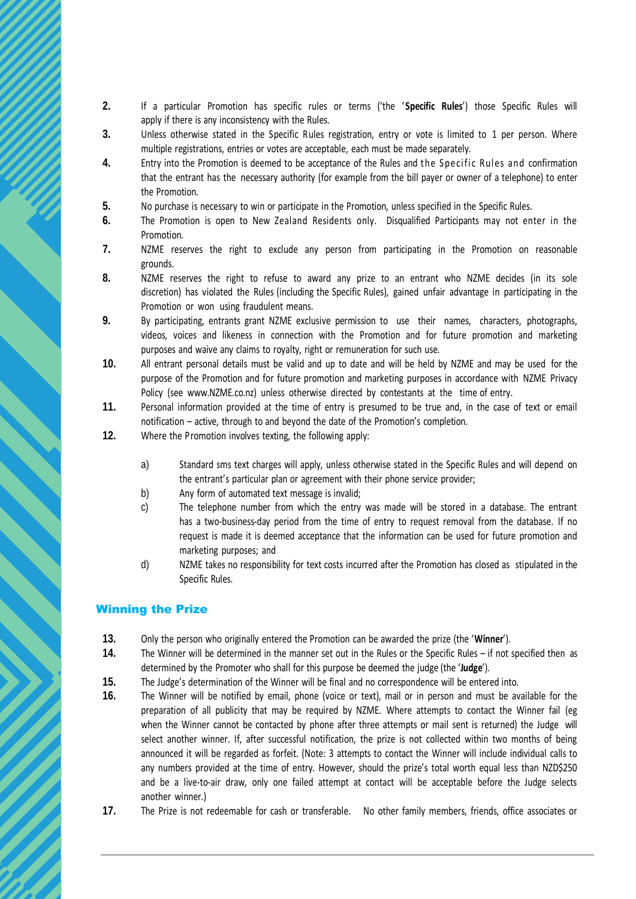- **2.** If a particular Promotion has specific rules or terms ('the ' **Specific Rules**') those Specific Rules will apply if there is any inconsistency with the Rules.
- **3.** Unless otherwise stated in the Specific Rules registration, entry or vote is limited to 1 per person. Where multiple registrations, entries or votes are acceptable, each must be made separately.
- **4.** Entry into the Promotion is deemed to be acceptance of the Rules and the Specific Rules and confirmation that the entrant has the necessary authority (for example from the bill payer or owner of a telephone) to enter the Promotion.
- **5.** No purchase is necessary to win or participate in the Promotion, unless specified in the Specific Rules.
- **6.** The Promotion is open to New Zealand Residents only. Disqualified Participants may not enter in the Promotion.
- **7.** NZME reserves the right to exclude any person from participating in the Promotion on reasonable grounds.
- **8.** NZME reserves the right to refuse to award any prize to an entrant who NZME decides (in its sole discretion) has violated the Rules (including the Specific Rules), gained unfair advantage in participating in the Promotion or won using fraudulent means.
- **9.** By participating, entrants grant NZME exclusive permission to use their names, characters, photographs, videos, voices and likeness in connection with the Promotion and for future promotion and marketing purposes and waive any claims to royalty, right or remuneration for such use.
- **10.** All entrant personal details must be valid and up to date and will be held by NZME and may be used for the purpose of the Promotion and for future promotion and marketing purposes in accordance with NZME Privacy Policy (see www.NZME.co.nz) unless otherwise directed by contestants at the time of entry.
- **11.** Personal information provided at the time of entry is presumed to be true and, in the case of text or email notification – active, through to and beyond the date of the Promotion's completion.
- **12.** Where the Promotion involves texting, the following apply:
	- a) Standard sms text charges will apply, unless otherwise stated in the Specific Rules and will depend on the entrant's particular plan or agreement with their phone service provider;
	- b) Any form of automated text message is invalid;
	- c) The telephone number from which the entry was made will be stored in a database. The entrant has a two-business-day period from the time of entry to request removal from the database. If no request is made it is deemed acceptance that the information can be used for future promotion and marketing purposes; and
	- d) NZME takes no responsibility for text costs incurred after the Promotion has closed as stipulated in the Specific Rules.

## Winning the Prize

- **13.** Only the person who originally entered the Promotion can be awarded the prize (the '**Winner**').
- **14.** The Winner will be determined in the manner set out in the Rules or the Specific Rules if not specified then as determined by the Promoter who shall for this purpose be deemed the judge (the '**Judge**').
- **15.** The Judge's determination of the Winner will be final and no correspondence will be entered into.
- **16.** The Winner will be notified by email, phone (voice or text), mail or in person and must be available for the preparation of all publicity that may be required by NZME. Where attempts to contact the Winner fail (eg when the Winner cannot be contacted by phone after three attempts or mail sent is returned) the Judge will select another winner. If, after successful notification, the prize is not collected within two months of being announced it will be regarded as forfeit. (Note: 3 attempts to contact the Winner will include individual calls to any numbers provided at the time of entry. However, should the prize's total worth equal less than NZD\$250 and be a live-to-air draw, only one failed attempt at contact will be acceptable before the Judge selects another winner.)
- **17.** The Prize is not redeemable for cash or transferable. No other family members, friends, office associates or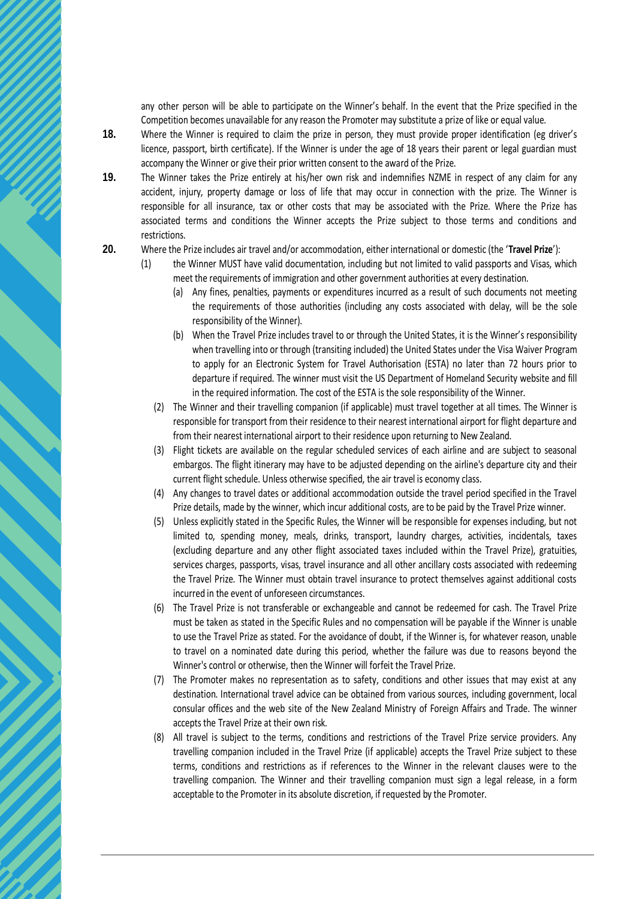any other person will be able to participate on the Winner's behalf. In the event that the Prize specified in the Competition becomes unavailable for any reason the Promoter may substitute a prize of like or equal value.

- **18.** Where the Winner is required to claim the prize in person, they must provide proper identification (eg driver's licence, passport, birth certificate). If the Winner is under the age of 18 years their parent or legal guardian must accompany the Winner or give their prior written consent to the award of the Prize.
- **19.** The Winner takes the Prize entirely at his/her own risk and indemnifies NZME in respect of any claim for any accident, injury, property damage or loss of life that may occur in connection with the prize. The Winner is responsible for all insurance, tax or other costs that may be associated with the Prize. Where the Prize has associated terms and conditions the Winner accepts the Prize subject to those terms and conditions and restrictions.
- **20.** Where the Prize includes air travel and/or accommodation, either international or domestic (the '**Travel Prize**'):
	- (1) the Winner MUST have valid documentation, including but not limited to valid passports and Visas, which meet the requirements of immigration and other government authorities at every destination.
		- (a) Any fines, penalties, payments or expenditures incurred as a result of such documents not meeting the requirements of those authorities (including any costs associated with delay, will be the sole responsibility of the Winner).
		- (b) When the Travel Prize includes travel to or through the United States, it is the Winner's responsibility when travelling into or through (transiting included) the United States under the Visa Waiver Program to apply for an Electronic System for Travel Authorisation (ESTA) no later than 72 hours prior to departure if required. The winner must visit the US Department of Homeland Security website and fill in the required information. The cost of the ESTA is the sole responsibility of the Winner.
		- (2) The Winner and their travelling companion (if applicable) must travel together at all times. The Winner is responsible for transport from their residence to their nearest international airport for flight departure and from their nearest international airport to their residence upon returning to New Zealand.
		- (3) Flight tickets are available on the regular scheduled services of each airline and are subject to seasonal embargos. The flight itinerary may have to be adjusted depending on the airline's departure city and their current flight schedule. Unless otherwise specified, the air travel is economy class.
		- (4) Any changes to travel dates or additional accommodation outside the travel period specified in the Travel Prize details, made by the winner, which incur additional costs, are to be paid by the Travel Prize winner.
		- (5) Unless explicitly stated in the Specific Rules, the Winner will be responsible for expenses including, but not limited to, spending money, meals, drinks, transport, laundry charges, activities, incidentals, taxes (excluding departure and any other flight associated taxes included within the Travel Prize), gratuities, services charges, passports, visas, travel insurance and all other ancillary costs associated with redeeming the Travel Prize. The Winner must obtain travel insurance to protect themselves against additional costs incurred in the event of unforeseen circumstances.
		- (6) The Travel Prize is not transferable or exchangeable and cannot be redeemed for cash. The Travel Prize must be taken as stated in the Specific Rules and no compensation will be payable if the Winner is unable to use the Travel Prize as stated. For the avoidance of doubt, if the Winner is, for whatever reason, unable to travel on a nominated date during this period, whether the failure was due to reasons beyond the Winner's control or otherwise, then the Winner will forfeit the Travel Prize.
		- (7) The Promoter makes no representation as to safety, conditions and other issues that may exist at any destination. International travel advice can be obtained from various sources, including government, local consular offices and the web site of the New Zealand Ministry of Foreign Affairs and Trade. The winner accepts the Travel Prize at their own risk.
		- (8) All travel is subject to the terms, conditions and restrictions of the Travel Prize service providers. Any travelling companion included in the Travel Prize (if applicable) accepts the Travel Prize subject to these terms, conditions and restrictions as if references to the Winner in the relevant clauses were to the travelling companion. The Winner and their travelling companion must sign a legal release, in a form acceptable to the Promoter in its absolute discretion, if requested by the Promoter.